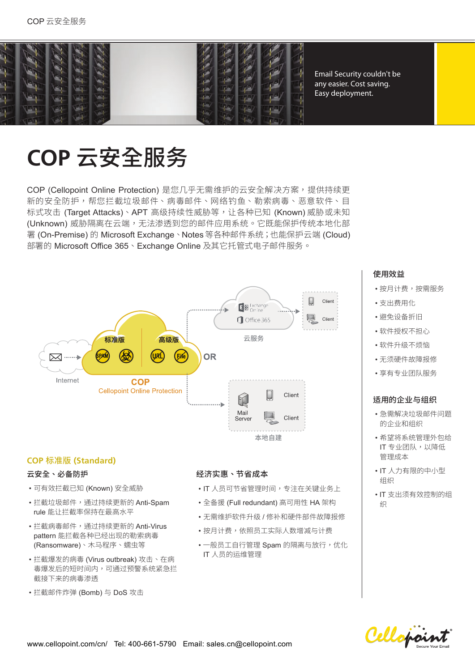

Email Security couldn't be any easier. Cost saving. Easy deployment.

# COP 云安全服务

COP (Cellopoint Online Protection) 是您几乎无需维护的云安全解决方案,提供持续更 新的安全防护,帮您拦截垃圾邮件、病毒邮件、网络钓鱼、勒索病毒、恶意软件、目 标式攻击 (Target Attacks)、APT 高级持续性威胁等,让各种已知 (Known) 威胁或未知 (Unknown) 威胁隔离在云端,无法渗透到您的邮件应用系统。它既能保护传统本地化部 署 (On-Premise) 的 Microsoft Exchange、Notes 等各种邮件系统; 也能保护云端 (Cloud) 部署的 Microsoft Office 365、Exchange Online 及其它托管式电子邮件服务。



# **COP 标准版 (Standard)**

#### 云安全、必备防护

- 可有效拦截已知 (Known) 安全威胁
- 拦截垃圾邮件,通过持续更新的 Anti-Spam rule 能让拦截率保持在最高水平
- 拦截病毒邮件,通过持续更新的 Anti-Virus pattern 能拦截各种已经出现的勒索病毒 (Ransomware)、木马程序、蠕虫等
- 拦截爆发的病毒 (Virus outbreak) 攻击、在病 毒爆发后的短时间内,可通过预警系统紧急拦 截接下来的病毒渗透
- 拦截邮件炸弹 (Bomb) 与 DoS 攻击

## 经济实惠、节省成本

- IT 人员可节省管理时间,专注在关键业务上
- 全备援 (Full redundant) 高可用性 HA 架构
- 无需维护软件升级 / 修补和硬件部件故障报修
- 按月计费,依照员工实际人数增减与计费
- 一般员工自行管理 Spam 的隔离与放行,优化 IT 人员的运维管理

# 使用效益

- 按月计费,按需服务
- 支出费用化
- •避免设备折旧
- 软件授权不担心
- 软件升级不烦恼
- 无须硬件故障报修
- 享有专业团队服务

#### 适用的企业与组织

- 急需解决垃圾邮件问题 的企业和组织
- 希望将系统管理外包给 IT 专业团队,以降低 管理成本
- IT 人力有限的中小型 组织
- IT 支出须有效控制的组 絉